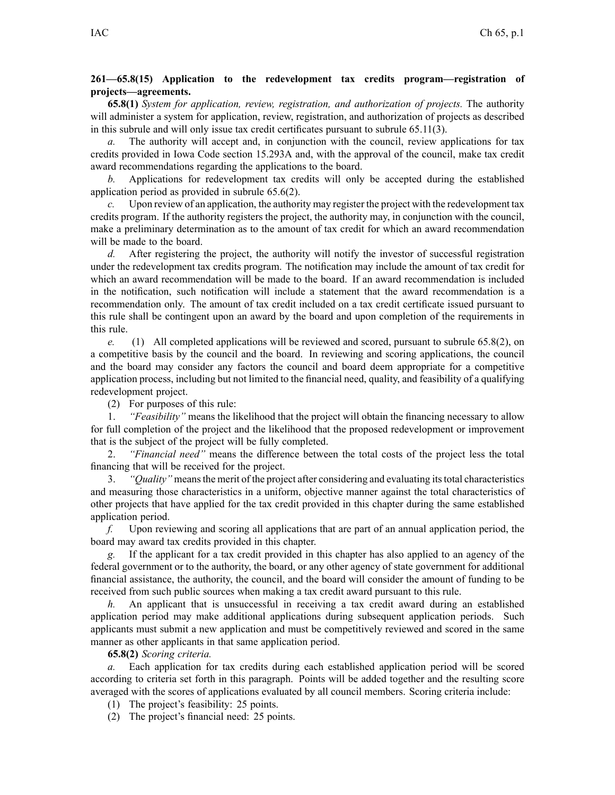## **261—65.8(15) Application to the redevelopment tax credits program—registration of projects—agreements.**

**65.8(1)** *System for application, review, registration, and authorization of projects.* The authority will administer <sup>a</sup> system for application, review, registration, and authorization of projects as described in this subrule and will only issue tax credit certificates pursuan<sup>t</sup> to subrule [65.11\(3\)](https://www.legis.iowa.gov/docs/iac/rule/261.65.11.pdf).

*a.* The authority will accep<sup>t</sup> and, in conjunction with the council, review applications for tax credits provided in Iowa Code section [15.293A](https://www.legis.iowa.gov/docs/ico/section/15.293A.pdf) and, with the approval of the council, make tax credit award recommendations regarding the applications to the board.

*b.* Applications for redevelopment tax credits will only be accepted during the established application period as provided in subrule [65.6\(2\)](https://www.legis.iowa.gov/docs/iac/rule/261.65.6.pdf).

*c.* Upon review of an application, the authority may register the project with the redevelopment tax credits program. If the authority registers the project, the authority may, in conjunction with the council, make <sup>a</sup> preliminary determination as to the amount of tax credit for which an award recommendation will be made to the board.

*d.* After registering the project, the authority will notify the investor of successful registration under the redevelopment tax credits program. The notification may include the amount of tax credit for which an award recommendation will be made to the board. If an award recommendation is included in the notification, such notification will include <sup>a</sup> statement that the award recommendation is <sup>a</sup> recommendation only. The amount of tax credit included on <sup>a</sup> tax credit certificate issued pursuan<sup>t</sup> to this rule shall be contingent upon an award by the board and upon completion of the requirements in this rule.

*e.* (1) All completed applications will be reviewed and scored, pursuan<sup>t</sup> to subrule [65.8\(2\)](https://www.legis.iowa.gov/docs/iac/rule/261.65.8.pdf), on <sup>a</sup> competitive basis by the council and the board. In reviewing and scoring applications, the council and the board may consider any factors the council and board deem appropriate for <sup>a</sup> competitive application process, including but not limited to the financial need, quality, and feasibility of <sup>a</sup> qualifying redevelopment project.

(2) For purposes of this rule:

1. *"Feasibility"* means the likelihood that the project will obtain the financing necessary to allow for full completion of the project and the likelihood that the proposed redevelopment or improvement that is the subject of the project will be fully completed.

2. *"Financial need"* means the difference between the total costs of the project less the total financing that will be received for the project.

3. *"Quality"* meansthe merit of the project after considering and evaluating itstotal characteristics and measuring those characteristics in <sup>a</sup> uniform, objective manner against the total characteristics of other projects that have applied for the tax credit provided in this chapter during the same established application period.

*f.* Upon reviewing and scoring all applications that are par<sup>t</sup> of an annual application period, the board may award tax credits provided in this chapter.

*g.* If the applicant for <sup>a</sup> tax credit provided in this chapter has also applied to an agency of the federal governmen<sup>t</sup> or to the authority, the board, or any other agency of state governmen<sup>t</sup> for additional financial assistance, the authority, the council, and the board will consider the amount of funding to be received from such public sources when making <sup>a</sup> tax credit award pursuan<sup>t</sup> to this rule.

*h.* An applicant that is unsuccessful in receiving <sup>a</sup> tax credit award during an established application period may make additional applications during subsequent application periods. Such applicants must submit <sup>a</sup> new application and must be competitively reviewed and scored in the same manner as other applicants in that same application period.

**65.8(2)** *Scoring criteria.*

*a.* Each application for tax credits during each established application period will be scored according to criteria set forth in this paragraph. Points will be added together and the resulting score averaged with the scores of applications evaluated by all council members. Scoring criteria include:

(1) The project's feasibility: 25 points.

(2) The project's financial need: 25 points.